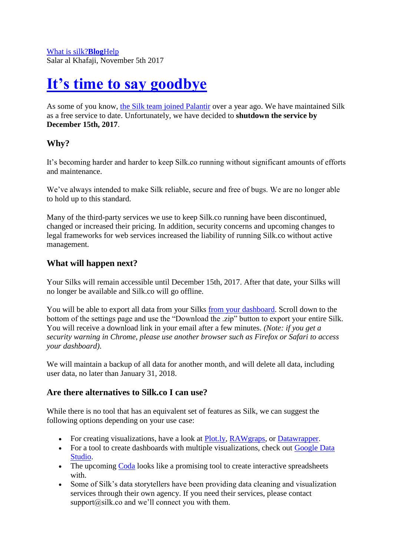## **[It's time to say goodbye](http://blog.silk.co/post/167155630197/its-time-to-say-goodbye)**

As some of you know, [the Silk team joined Palantir](http://blog.silk.co/post/148741934972/silk-joins-palantir) over a year ago. We have maintained Silk as a free service to date. Unfortunately, we have decided to **shutdown the service by December 15th, 2017**.

### **Why?**

It's becoming harder and harder to keep Silk.co running without significant amounts of efforts and maintenance.

We've always intended to make Silk reliable, secure and free of bugs. We are no longer able to hold up to this standard.

Many of the third-party services we use to keep Silk.co running have been discontinued, changed or increased their pricing. In addition, security concerns and upcoming changes to legal frameworks for web services increased the liability of running Silk.co without active management.

### **What will happen next?**

Your Silks will remain accessible until December 15th, 2017. After that date, your Silks will no longer be available and Silk.co will go offline.

You will be able to export all data from your Silks [from your dashboard.](http://t.umblr.com/redirect?z=http%3A%2F%2Fwww.silk.co%2Fdashboard%2Fsettings&t=YmMzNTFlNzVjZDExYzYyMGM3ZTVkOWZjNzZhNDQ5NzNhYzZiMzFhMCxFaTZGdGZPaw%3D%3D&b=t%3AvutK3OWvcMHeHjxBS_65qw&p=http%3A%2F%2Fblog.silk.co%2Fpost%2F167155630197%2Fits-time-to-say-goodbye&m=1) Scroll down to the bottom of the settings page and use the "Download the .zip" button to export your entire Silk. You will receive a download link in your email after a few minutes. *(Note: if you get a security warning in Chrome, please use another browser such as Firefox or Safari to access your dashboard)*.

We will maintain a backup of all data for another month, and will delete all data, including user data, no later than January 31, 2018.

### **Are there alternatives to Silk.co I can use?**

While there is no tool that has an equivalent set of features as Silk, we can suggest the following options depending on your use case:

- For creating visualizations, have a look at [Plot.ly,](http://t.umblr.com/redirect?z=https%3A%2F%2Fplot.ly%2F&t=NWRkZDAwMzM3NGUyZGFkMTNlZjM3M2U4ZDczYWY5NjYzMmVjNjQ3NixFaTZGdGZPaw%3D%3D&b=t%3AvutK3OWvcMHeHjxBS_65qw&p=http%3A%2F%2Fblog.silk.co%2Fpost%2F167155630197%2Fits-time-to-say-goodbye&m=1) [RAWgraps,](http://t.umblr.com/redirect?z=http%3A%2F%2Frawgraphs.io%2F&t=YjM2MzUwN2ZjOWZhMjhjZDAwMDEyYWY2ZGUwNTI0MDdiY2U4NDQ3YyxFaTZGdGZPaw%3D%3D&b=t%3AvutK3OWvcMHeHjxBS_65qw&p=http%3A%2F%2Fblog.silk.co%2Fpost%2F167155630197%2Fits-time-to-say-goodbye&m=1) or [Datawrapper.](http://t.umblr.com/redirect?z=https%3A%2F%2Fwww.datawrapper.de%2F&t=NTIxYzg4ZGJiNjQ3NDU5OWVkNDA5MzAyOTFmN2ZhZjc0MGY3ZTQwMixFaTZGdGZPaw%3D%3D&b=t%3AvutK3OWvcMHeHjxBS_65qw&p=http%3A%2F%2Fblog.silk.co%2Fpost%2F167155630197%2Fits-time-to-say-goodbye&m=1)
- For a tool to create dashboards with multiple visualizations, check out Google Data [Studio.](http://t.umblr.com/redirect?z=https%3A%2F%2Fwww.google.com%2Fanalytics%2Fdata-studio%2F&t=ZDBhNmNkOTdiMjNmNjY3YzkzZDM5MGM4MDMxZTczOTBhM2IyOTJmZixFaTZGdGZPaw%3D%3D&b=t%3AvutK3OWvcMHeHjxBS_65qw&p=http%3A%2F%2Fblog.silk.co%2Fpost%2F167155630197%2Fits-time-to-say-goodbye&m=1)
- The upcoming [Coda](http://t.umblr.com/redirect?z=https%3A%2F%2Fcoda.io%2F&t=MTJmYjZmNzNmZGIwMTAzOGU1NDhjNGQ4ZDQwMGZjNTYzMWE2NDMwNSxFaTZGdGZPaw%3D%3D&b=t%3AvutK3OWvcMHeHjxBS_65qw&p=http%3A%2F%2Fblog.silk.co%2Fpost%2F167155630197%2Fits-time-to-say-goodbye&m=1) looks like a promising tool to create interactive spreadsheets with.
- Some of Silk's data storytellers have been providing data cleaning and visualization services through their own agency. If you need their services, please contact support $(a)$ silk.co and we'll connect you with them.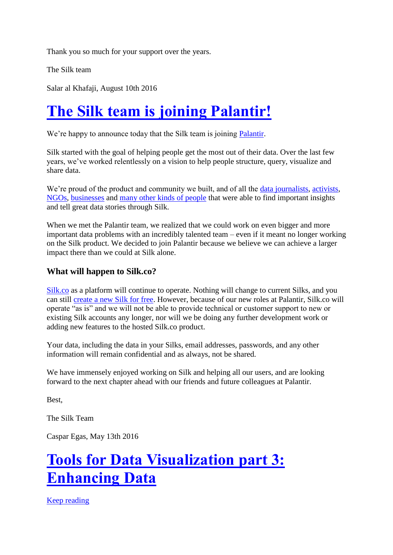Thank you so much for your support over the years.

The Silk team

Salar al Khafaji, August 10th 2016

# **[The Silk team is joining Palantir!](http://blog.silk.co/post/148741934972/silk-joins-palantir)**

We're happy to announce today that the Silk team is joining [Palantir.](http://t.umblr.com/redirect?z=https%3A%2F%2Fwww.palantir.com%2F&t=ZTlmNjYwNWNjNzg1NTMzNzY0MWRiODMyZGZhMjNmN2Q5MDJiM2M3MSxRa3FXM0wwYg%3D%3D&b=t%3AvutK3OWvcMHeHjxBS_65qw&p=http%3A%2F%2Fblog.silk.co%2Fpost%2F148741934972%2Fsilk-joins-palantir&m=1)

Silk started with the goal of helping people get the most out of their data. Over the last few years, we've worked relentlessly on a vision to help people structure, query, visualize and share data.

We're proud of the product and community we built, and of all the [data journalists,](http://t.umblr.com/redirect?z=https%3A%2F%2Flittle-college-basketball-stars.silk.co&t=ZDA5ZmQ5MzQwNmM3ZWRkZDBmYTFmMGM5ODc3NzQ3ZjRiYTlmMTY2YyxRa3FXM0wwYg%3D%3D&b=t%3AvutK3OWvcMHeHjxBS_65qw&p=http%3A%2F%2Fblog.silk.co%2Fpost%2F148741934972%2Fsilk-joins-palantir&m=1) [activists,](http://t.umblr.com/redirect?z=https%3A%2F%2Fbellingcat-vehicles.silk.co&t=NDI5NWQ3ODc5MDI4Y2I0M2JjYTZmYmUyZTY5N2NmYzZkNjQ4ZWU0OSxRa3FXM0wwYg%3D%3D&b=t%3AvutK3OWvcMHeHjxBS_65qw&p=http%3A%2F%2Fblog.silk.co%2Fpost%2F148741934972%2Fsilk-joins-palantir&m=1) [NGOs,](http://t.umblr.com/redirect?z=http%3A%2F%2F3w-sbtf.silk.co&t=ZDZmMzIzMGZkMjI5OTYyYTk4MmZiYjJlZDUwOTQ4YjExZTczMWExNCxRa3FXM0wwYg%3D%3D&b=t%3AvutK3OWvcMHeHjxBS_65qw&p=http%3A%2F%2Fblog.silk.co%2Fpost%2F148741934972%2Fsilk-joins-palantir&m=1) [businesses](http://t.umblr.com/redirect?z=http%3A%2F%2Fprohaska-consulting.silk.co&t=NzA3NWE2NWRjNmI0NDZjZmQyMDVmMDc3NTNmNjZkMmE4MWNhYWM5ZixRa3FXM0wwYg%3D%3D&b=t%3AvutK3OWvcMHeHjxBS_65qw&p=http%3A%2F%2Fblog.silk.co%2Fpost%2F148741934972%2Fsilk-joins-palantir&m=1) and [many other kinds of people](http://t.umblr.com/redirect?z=https%3A%2F%2Fwww.silk.co%2Fgallery%23more&t=M2QzNDdjZTE0YmU2ZDVkZjljMzUyZjUyZjVhNGZiY2I0Y2MxMzgwMyxRa3FXM0wwYg%3D%3D&b=t%3AvutK3OWvcMHeHjxBS_65qw&p=http%3A%2F%2Fblog.silk.co%2Fpost%2F148741934972%2Fsilk-joins-palantir&m=1) that were able to find important insights and tell great data stories through Silk.

When we met the Palantir team, we realized that we could work on even bigger and more important data problems with an incredibly talented team – even if it meant no longer working on the Silk product. We decided to join Palantir because we believe we can achieve a larger impact there than we could at Silk alone.

#### **What will happen to Silk.co?**

[Silk.co](http://t.umblr.com/redirect?z=http%3A%2F%2Fwww.silk.co%2F&t=NWNlNDFjZTUwZGQ0MzM4Nzk1Mzg0MWM0MWRhMWU5OGRjNDk3NTZhNyxRa3FXM0wwYg%3D%3D&b=t%3AvutK3OWvcMHeHjxBS_65qw&p=http%3A%2F%2Fblog.silk.co%2Fpost%2F148741934972%2Fsilk-joins-palantir&m=1) as a platform will continue to operate. Nothing will change to current Silks, and you can still [create a new Silk for free.](http://t.umblr.com/redirect?z=https%3A%2F%2Fsilk.co%2Fsignup&t=ZDkyYmZkMzU0ZmYwNTMxMWYwYTMwMzQ0MjhhMGRjMzMyYTBmNjgyZSxRa3FXM0wwYg%3D%3D&b=t%3AvutK3OWvcMHeHjxBS_65qw&p=http%3A%2F%2Fblog.silk.co%2Fpost%2F148741934972%2Fsilk-joins-palantir&m=1) However, because of our new roles at Palantir, Silk.co will operate "as is" and we will not be able to provide technical or customer support to new or existing Silk accounts any longer, nor will we be doing any further development work or adding new features to the hosted Silk.co product.

Your data, including the data in your Silks, email addresses, passwords, and any other information will remain confidential and as always, not be shared.

We have immensely enjoyed working on Silk and helping all our users, and are looking forward to the next chapter ahead with our friends and future colleagues at Palantir.

Best,

The Silk Team

Caspar Egas, May 13th 2016

## **[Tools for Data Visualization part 3:](http://blog.silk.co/post/144293633212/tools-for-data-visualization-part-3-enhancing)  [Enhancing Data](http://blog.silk.co/post/144293633212/tools-for-data-visualization-part-3-enhancing)**

[Keep reading](http://blog.silk.co/post/144293633212/tools-for-data-visualization-part-3-enhancing)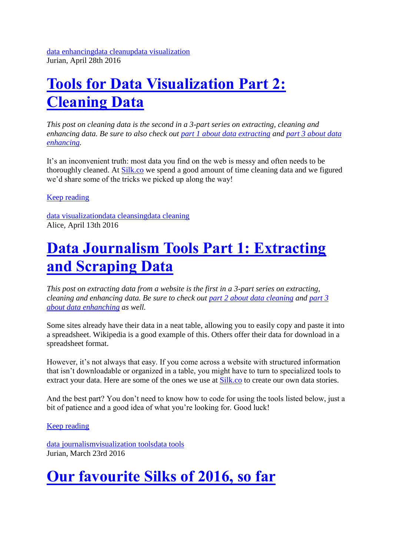# **[Tools for Data Visualization Part 2:](http://blog.silk.co/post/143527419532/tools-for-data-visualization-part-2-cleaning-data)  [Cleaning Data](http://blog.silk.co/post/143527419532/tools-for-data-visualization-part-2-cleaning-data)**

*This post on cleaning data is the second in a 3-part series on extracting, cleaning and enhancing data. Be sure to also check out [part 1 about data extracting](http://blog.silk.co/post/142737643047/data-journalism-tools-part-1-extracting-and) and [part 3 about data](http://blog.silk.co/post/144293633212/tools-for-data-visualization-part-3-enhancing)  [enhancing.](http://blog.silk.co/post/144293633212/tools-for-data-visualization-part-3-enhancing)*

It's an inconvenient truth: most data you find on the web is messy and often needs to be thoroughly cleaned. At [Silk.co](http://t.umblr.com/redirect?z=https%3A%2F%2Fwww.silk.co%2F&t=M2NkNWI5YWY5ZDlhNDVhYjI3OTM3ZjEwNDczOGZlNTY1MzMzM2Y5NSxhdEdURUhWaA%3D%3D&b=t%3AvutK3OWvcMHeHjxBS_65qw&p=http%3A%2F%2Fblog.silk.co%2Fpost%2F143527419532%2Ftools-for-data-visualization-part-2-cleaning-data&m=1) we spend a good amount of time cleaning data and we figured we'd share some of the tricks we picked up along the way!

[Keep reading](http://blog.silk.co/post/143527419532/tools-for-data-visualization-part-2-cleaning-data)

[data visualization](http://blog.silk.co/tagged/data-visualization)[data cleansing](http://blog.silk.co/tagged/data-cleansing)[data cleaning](http://blog.silk.co/tagged/data-cleaning) Alice, April 13th 2016

## **[Data Journalism Tools Part 1: Extracting](http://blog.silk.co/post/142737643047/data-journalism-tools-part-1-extracting-and)  [and Scraping Data](http://blog.silk.co/post/142737643047/data-journalism-tools-part-1-extracting-and)**

*This post on extracting data from a website is the first in a 3-part series on extracting, cleaning and enhancing data. Be sure to check out [part 2 about data cleaning](http://blog.silk.co/post/143527419532/tools-for-data-visualization-part-2-cleaning-data) and [part 3](http://blog.silk.co/post/144293633212/tools-for-data-visualization-part-3-enhancing)  [about data enhanching](http://blog.silk.co/post/144293633212/tools-for-data-visualization-part-3-enhancing) as well.*

Some sites already have their data in a neat table, allowing you to easily copy and paste it into a spreadsheet. Wikipedia is a good example of this. Others offer their data for download in a spreadsheet format.

However, it's not always that easy. If you come across a website with structured information that isn't downloadable or organized in a table, you might have to turn to specialized tools to extract your data. Here are some of the ones we use at [Silk.co](http://t.umblr.com/redirect?z=https%3A%2F%2Fwww.silk.co%2F&t=YTZjNThkMTc3ZGZhMTExMTJmYzlmMTJiNWE2OTc4NDIwZDk3NDA0OSxqVjR6UWdneA%3D%3D&b=t%3AvutK3OWvcMHeHjxBS_65qw&p=http%3A%2F%2Fblog.silk.co%2Fpost%2F142737643047%2Fdata-journalism-tools-part-1-extracting-and&m=1) to create our own data stories.

And the best part? You don't need to know how to code for using the tools listed below, just a bit of patience and a good idea of what you're looking for. Good luck!

[Keep reading](http://blog.silk.co/post/142737643047/data-journalism-tools-part-1-extracting-and)

[data journalism](http://blog.silk.co/tagged/data-journalism)[visualization](http://blog.silk.co/tagged/visualization-tools) tool[sdata tools](http://blog.silk.co/tagged/data-tools) Jurian, March 23rd 2016

# **[Our favourite Silks of 2016, so far](http://blog.silk.co/post/141540443872/our-favourite-silks-of-2016-so-far)**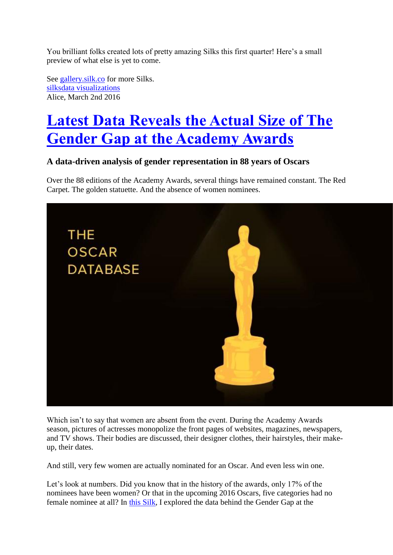You brilliant folks created lots of pretty amazing Silks this first quarter! Here's a small preview of what else is yet to come.

See [gallery.silk.co](http://t.umblr.com/redirect?z=https%3A%2F%2Fgallery.silk.co&t=MGRmN2M1ODFmNWQ4NjA0ZjFkOTA1NTBmMTQwMjYxNGVhYTA2Nzc2OSxiallrUG1kNw%3D%3D&b=t%3AvutK3OWvcMHeHjxBS_65qw&p=http%3A%2F%2Fblog.silk.co%2Fpost%2F141540443872%2Four-favourite-silks-of-2016-so-far&m=1) for more Silks. [silks](http://blog.silk.co/tagged/silks)[data visualizations](http://blog.silk.co/tagged/data-visualizations) Alice, March 2nd 2016

# **[Latest Data Reveals the Actual Size of The](http://blog.silk.co/post/140332623612/latest-data-reveals-the-actual-size-of-the-gender)  [Gender Gap at the Academy Awards](http://blog.silk.co/post/140332623612/latest-data-reveals-the-actual-size-of-the-gender)**

### **A data-driven analysis of gender representation in 88 years of Oscars**

Over the 88 editions of the Academy Awards, several things have remained constant. The Red Carpet. The golden statuette. And the absence of women nominees.



Which isn't to say that women are absent from the event. During the Academy Awards season, pictures of actresses monopolize the front pages of websites, magazines, newspapers, and TV shows. Their bodies are discussed, their designer clothes, their hairstyles, their makeup, their dates.

And still, very few women are actually nominated for an Oscar. And even less win one.

Let's look at numbers. Did you know that in the history of the awards, only 17% of the nominees have been women? Or that in the upcoming 2016 Oscars, five categories had no female nominee at all? In [this Silk,](http://t.umblr.com/redirect?z=http%3A%2F%2Facademy-awards-data.silk.co%2F&t=MGQzOGE5MGNmMjQ4NTMxMTY1NGQ4NTRjMzMyY2YxYTUxNWJjNzRjZCw1aFdmaThpSA%3D%3D&b=t%3AvutK3OWvcMHeHjxBS_65qw&p=http%3A%2F%2Fblog.silk.co%2Fpost%2F140332623612%2Flatest-data-reveals-the-actual-size-of-the-gender&m=1) I explored the data behind the Gender Gap at the